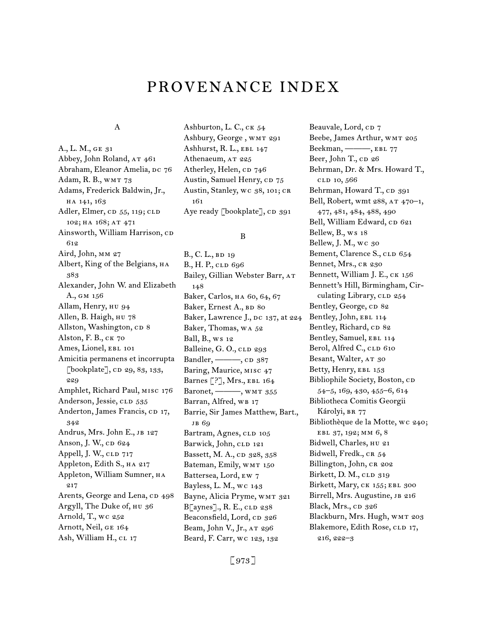# provenance INDEX

#### A

A., L. M., GE 31 Abbey, John Roland, AT 461 Abraham, Eleanor Amelia, DC 76 Adam, R. B., WMT 73 Adams, Frederick Baldwin, Jr., ha 141, 163 Adler, Elmer, CD 55, 119; CLD 102; HA 168; AT 471 Ainsworth, William Harrison, CD 612 Aird, John, MM 27 Albert, King of the Belgians,  $HA$ 383 Alexander, John W. and Elizabeth A., gm 156 Allam, Henry, hu 94 Allen, B. Haigh, HU 78 Allston, Washington, CD 8 Alston, F. B., ck 70 Ames, Lionel, EBL 101 Amicitia permanens et incorrupta [bookplate], cp 29, 83, 133, 229 Amphlet, Richard Paul, misc 176 Anderson, Jessie, CLD 535 Anderton, James Francis, cp 17, 342 Andrus, Mrs. John E., JB 127 Anson, J. W., cp 624 Appell, J. W., CLD 717 Appleton, Edith S., HA 217 Appleton, William Sumner, на 217 Arents, George and Lena, cp 498 Argyll, The Duke of, hu 36 Arnold, T., wc 252 Arnott, Neil, ge 164 Ash, William H., CL 17

Ashburton, L. C., CK 54 Ashbury, George , wmt 291 Ashhurst, R. L., ebl 147 Athenaeum, AT 225 Atherley, Helen, CD 746 Austin, Samuel Henry, CD 75 Austin, Stanley, wc 38, 101; CR 161 Aye ready [bookplate], CD 391

#### B

B., C. L., BD 19 B., H. P., CLD 696 Bailey, Gillian Webster Barr, at 148 Baker, Carlos, ha 60, 64, 67 Baker, Ernest A., BD 80 Baker, Lawrence J., DC 137, at 224 Baker, Thomas, wa 52 Ball, B., ws 12 Balleine, G. O., CLD 293 Bandler, ———, CD 387 Baring, Maurice, MISC 47 Barnes [?], Mrs., EBL 164 Baronet, ———, wmt 355 Barran, Alfred, WB 17 Barrie, Sir James Matthew, Bart., jb 69 Bartram, Agnes, CLD 105 Barwick, John, CLD 121 Bassett, M. A., cp 328, 358 Bateman, Emily, WMT 150 Battersea, Lord, ew 7 Bayless, L. M., wc 143 Bayne, Alicia Pryme, WMT 321 B[aynes]., R. E., CLD 238 Beaconsfield, Lord, cp 326 Beam, John V., Jr., at 296 Beard, F. Carr, wc 123, 132

Beauvale, Lord, cp 7 Beebe, James Arthur, WMT 205 Beekman, ——, EBL 77 Beer, John T., CD 26 Behrman, Dr. & Mrs. Howard T., cld 10, 566 Behrman, Howard T., CD 391 Bell, Robert, wmt 288, AT 470-1, 477, 481, 484, 488, 490 Bell, William Edward, CD 621 Bellew, B., ws 18 Bellew, J. M., wc 30 Bement, Clarence S., CLD 654 Bennet, Mrs., CR 230 Bennett, William J. E., CK 156 Bennett's Hill, Birmingham, Circulating Library, CLD 254 Bentley, George, cp 82 Bentley, John, EBL 114 Bentley, Richard, CD 82 Bentley, Samuel, EBL 114 Berol, Alfred C., CLD 610 Besant, Walter, AT 30 Betty, Henry, EBL 153 Bibliophile Society, Boston, CD 54–5, 169, 430, 455–6, 614 Bibliotheca Comitis Georgii Károlyi, BR 77 Bibliothèque de la Motte, wc 240; ebl 37, 192; mm 6, 8 Bidwell, Charles, hu 21 Bidwell, Fredk., CR 54 Billington, John, CR 202 Birkett, D. M., CLD 319 Birkett, Mary, CK 155; EBL 300 Birrell, Mrs. Augustine, JB 216 Black, Mrs., cp 326 Blackburn, Mrs. Hugh, wmt 203 Blakemore, Edith Rose, CLD 17, 216, 222–3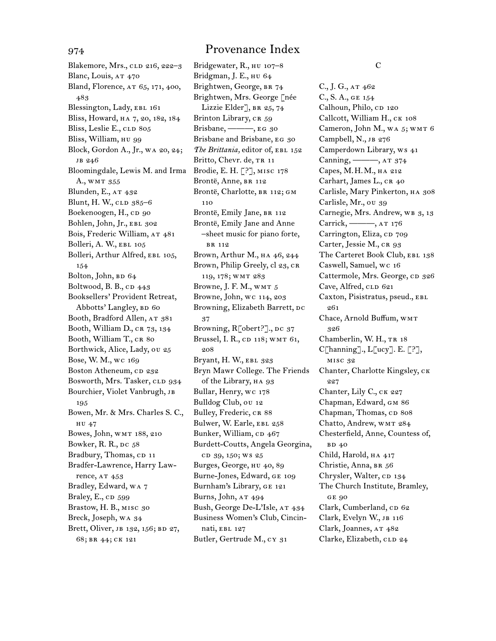Blakemore, Mrs., CLD 216, 222-3 Blanc, Louis, AT 470 Bland, Florence, at 65, 171, 400, 483 Blessington, Lady, EBL 161 Bliss, Howard, ha 7, 20, 182, 184 Bliss, Leslie E., CLD 805 Bliss, William, hu 99 Block, Gordon A., Jr., wa 20, 24; jb 246 Bloomingdale, Lewis M. and Irma A., WMT 355 Blunden, E., AT 432 Blunt, H. W., CLD 385-6 Boekenoogen, H., cD 90 Bohlen, John, Jr., EBL 302 Bois, Frederic William, AT 481 Bolleri, A. W., EBL 105 Bolleri, Arthur Alfred, EBL 105, 154 Bolton, John, BD 64 Boltwood, B. B.,  $CD$   $443$ Booksellers' Provident Retreat, Abbotts' Langley, BD 60 Booth, Bradford Allen, AT 381 Booth, William D., CR 73, 134 Booth, William T., CR 80 Borthwick, Alice, Lady, ou 25 Bose, W. M., wc 169 Boston Atheneum, CD 232 Bosworth, Mrs. Tasker, CLD 934 Bourchier, Violet Vanbrugh, JB 195 Bowen, Mr. & Mrs. Charles S. C., hu 47 Bowes, John, wmt 188, 210 Bowker, R. R., DC 58 Bradbury, Thomas, CD 11 Bradfer-Lawrence, Harry Lawrence, AT 453 Bradley, Edward, wa 7 Braley, E., CD 599 Brastow, H. B., misc 30 Breck, Joseph, wa 34 Brett, Oliver, JB 132, 156; BD 27, 68; br 44; ck 121

Bridgewater, R., HU 107-8 Bridgman, J. E., hu 64 Brightwen, George, BR 74 Brightwen, Mrs. George [née Lizzie Elder<sup>7</sup>, BR 25, 74 Brinton Library, CR 59 Brisbane, ——, EG 30 Brisbane and Brisbane, EG 30 The Brittania, editor of, EBL 152 Britto, Chevr. de, TR 11 Brodie, E. H. [?], misc 178 Brontë, Anne, BR 112 Brontë, Charlotte, BR 112; GM 110 Brontë, Emily Jane, BR 112 Brontë, Emily Jane and Anne –sheet music for piano forte, br 112 Brown, Arthur M., HA 46, 244 Brown, Philip Greely, cl 23, CR 119, 178; wmt 283 Browne, J. F. M., WMT 5 Browne, John, wc 114, 203 Browning, Elizabeth Barrett, DC 37 Browning,  $R\lceil \text{obert?}\rceil$ ., DC 37 Brussel, I. R., CD 118; WMT 61, 208 Bryant, H. W., ebl 323 Bryn Mawr College. The Friends of the Library, HA 93 Bullar, Henry, wc 178 Bulldog Club, ou 12 Bulley, Frederic, CR 88 Bulwer, W. Earle, EBL 258 Bunker, William, CD 467 Burdett-Coutts, Angela Georgina, cd 39, 150; ws 25 Burges, George, hu 40, 89 Burne-Jones, Edward, ge 109 Burnham's Library, ge 121 Burns, John, AT 494 Bush, George De-L'Isle, AT 434 Business Women's Club, Cincinnati, ebl 127 Butler, Gertrude M., cy 31

C

C., J. G., at 462 C., S. A., ge 154 Calhoun, Philo, CD 120 Callcott, William H., ck 108 Cameron, John M., wa 5; wmt 6 Campbell, N., JB 276 Camperdown Library, ws 41 Canning, ———, at 374 Capes, M.H.M., ha 212 Carhart, James L., CR 40 Carlisle, Mary Pinkerton, ha 308 Carlisle, Mr., ou 39 Carnegie, Mrs. Andrew, WB 3, 13 Carrick, ———, at 176 Carrington, Eliza, cp 709 Carter, Jessie M., CR 93 The Carteret Book Club, EBL 138 Caswell, Samuel, wc 16 Cattermole, Mrs. George, cn 326 Cave, Alfred, CLD 621 Caxton, Pisistratus, pseud., ebl 261 Chace, Arnold Buffum, wmt 326 Chamberlin, W. H., TR 18 C[hanning]., L[ucy]. E. [?], misc 32 Chanter, Charlotte Kingsley, ck 227 Chanter, Lily C., CK 227 Chapman, Edward, gm 86 Chapman, Thomas, CD 808 Chatto, Andrew, wmt 284 Chesterfield, Anne, Countess of, BD 40 Child, Harold, ha 417 Christie, Anna, BR 56 Chrysler, Walter, CD 134 The Church Institute, Bramley, ge 90 Clark, Cumberland, CD 62 Clark, Evelyn W., jb 116 Clark, Joannes, AT 482 Clarke, Elizabeth, CLD 24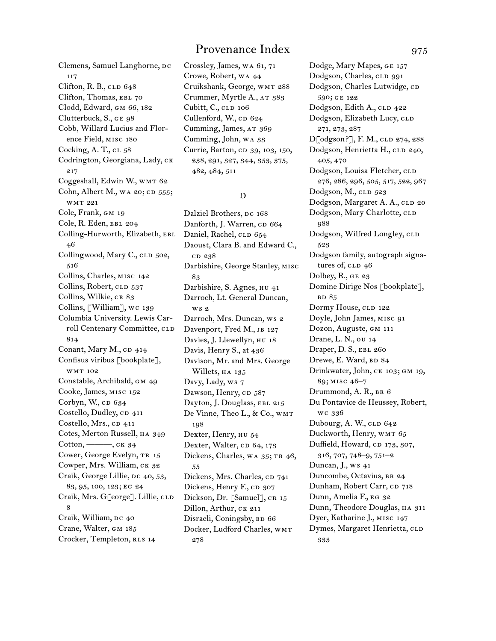Clemens, Samuel Langhorne, DC 117 Clifton, R. B.,  $CLD 648$ Clifton, Thomas, EBL 70 Clodd, Edward, gm 66, 182 Clutterbuck, S., ge 98 Cobb, Willard Lucius and Florence Field, misc 180 Cocking, A. T.,  $CL$  58 Codrington, Georgiana, Lady, ck 217 Coggeshall, Edwin W., WMT 62 Cohn, Albert M., wa 20; CD  $555$ ; wmt 221 Cole, Frank, gm 19 Cole, R. Eden, EBL 204 Colling-Hurworth, Elizabeth, ebl 46 Collingwood, Mary C., CLD 502, 516 Collins, Charles, misc 142 Collins, Robert, CLD 537 Collins, Wilkie, CR 83 Collins, [William], wc 139 Columbia University. Lewis Carroll Centenary Committee, CLD 814 Conant, Mary M.,  $CD$  414 Confisus viribus [bookplate], wmt 102 Constable, Archibald, gm 49 Cooke, James, misc 152 Corbyn, W.,  $CD$  634 Costello, Dudley, CD 411 Costello, Mrs., cp 411 Cotes, Merton Russell, ha 349  $Cottom, \underline{\hspace{1cm}} \ldots, \underline{\hspace{1cm}} \underline{\hspace{1cm}}$  ck 34 Cower, George Evelyn, TR 15 Cowper, Mrs. William, ck 32 Craik, George Lillie, DC 40, 53, 83, 95, 100, 123; eg 24 Craik, Mrs. G[eorge]. Lillie, CLD 8 Craik, William, DC 40 Crane, Walter, gm 185 Crocker, Templeton, RLS 14

Crossley, James, wa 61, 71 Crowe, Robert, wa 44 Cruikshank, George, wmt 288 Crummer, Myrtle A., AT 383 Cubitt, C., CLD 106 Cullenford, W., CD 624 Cumming, James, AT 369 Cumming, John, wa 33 Currie, Barton, cD 39, 103, 150, 238, 291, 327, 344, 353, 375, 482, 484, 511

### D

Dalziel Brothers, DC 168 Danforth, J. Warren, cp 664 Daniel, Rachel, CLD 654 Daoust, Clara B. and Edward C., cd 238 Darbishire, George Stanley, misc 83 Darbishire, S. Agnes, hu 41 Darroch, Lt. General Duncan, ws 2 Darroch, Mrs. Duncan, ws 2 Davenport, Fred M., JB 127 Davies, J. Llewellyn, hu 18 Davis, Henry S., at 436 Davison, Mr. and Mrs. George Willets, HA 135 Davy, Lady, ws 7 Dawson, Henry, CD 587 Dayton, J. Douglass, EBL 215 De Vinne, Theo L., & Co., wmt 198 Dexter, Henry, hu 54 Dexter, Walter, CD 64, 173 Dickens, Charles, WA 35; TR 46, 55 Dickens, Mrs. Charles, cp 741 Dickens, Henry F., CD 307 Dickson, Dr. [Samuel], CR 15 Dillon, Arthur, CK 211 Disraeli, Coningsby, BD 66 Docker, Ludford Charles, wmt 278

Dodge, Mary Mapes, ge 157 Dodgson, Charles, CLD 991 Dodgson, Charles Lutwidge, CD 590; ge 122 Dodgson, Edith A., CLD 422 Dodgson, Elizabeth Lucy, CLD 271, 273, 287 D[odgson?], F. M., CLD 274, 288 Dodgson, Henrietta H., CLD 240, 405, 470 Dodgson, Louisa Fletcher, CLD 276, 286, 296, 505, 517, 522, 967 Dodgson, M., CLD 523 Dodgson, Margaret A. A., CLD 20 Dodgson, Mary Charlotte, CLD 988 Dodgson, Wilfred Longley, CLD 523 Dodgson family, autograph signatures of,  $CLD$  46 Dolbey, R., GE 23 Domine Dirige Nos [bookplate], **BD** 85 Dormy House, CLD 122 Doyle, John James, misc 91 Dozon, Auguste, gm 111 Drane, L. N., ou 14 Draper, D. S., EBL 260 Drewe, E. Ward, BD 84 Drinkwater, John, CK 103; GM 19, 89; misc 46–7 Drummond, A. R., br 6 Du Pontavice de Heussey, Robert, wc 336 Dubourg, A. W., CLD 642 Duckworth, Henry, WMT 65 Duffield, Howard, cp 173, 307, 316, 707, 748–9, 751–2 Duncan,  $J_{n}$ , ws  $41$ Duncombe, Octavius, BR 24 Dunham, Robert Carr, CD 718 Dunn, Amelia F., eg 32 Dunn, Theodore Douglas, HA 311 Dyer, Katharine J., misc 147 Dymes, Margaret Henrietta, CLD 333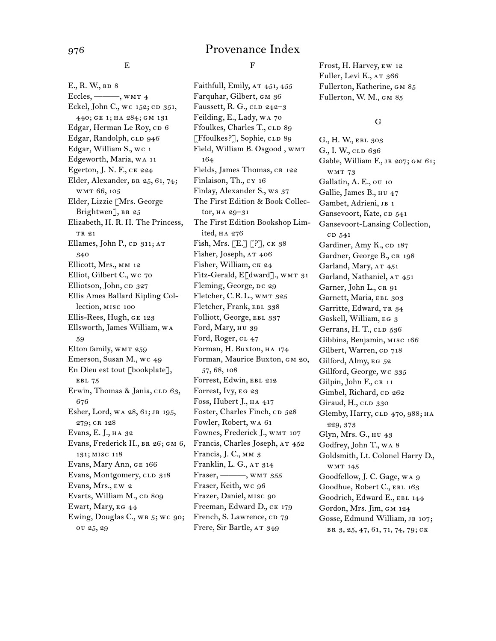E

E., R. W., BD 8 Eccles, ———, wmt 4 Eckel, John C., wc 152; CD 351, 440; ge 1; ha 284; gm 131 Edgar, Herman Le Roy, cp 6 Edgar, Randolph, CLD 946 Edgar, William S., wc 1 Edgeworth, Maria, wa 11 Egerton, J. N. F., ck 224 Elder, Alexander, br 25, 61, 74; wmt 66, 105 Elder, Lizzie [Mrs. George Brightwen<sup>7</sup>, BR 25 Elizabeth, H. R. H. The Princess, TR 21 Ellames, John P., CD 311; AT 340 Ellicott, Mrs., mm 12 Elliot, Gilbert C., wc 70 Elliotson, John, cp 327 Ellis Ames Ballard Kipling Collection, misc 100 Ellis-Rees, Hugh, ge 123 Ellsworth, James William, wa 59 Elton family, WMT 259 Emerson, Susan M., wc 49 En Dieu est tout [bookplate], EBL 75 Erwin, Thomas & Jania, CLD 63, 676 Esher, Lord, WA 28, 61; JB 195, 279; cr 128 Evans, E. J., ha 32 Evans, Frederick H., BR 26; GM 6, 131; misc 118 Evans, Mary Ann, ge 166 Evans, Montgomery, CLD 318 Evans, Mrs., ew 2 Evarts, William M., CD 809 Ewart, Mary, EG 44 Ewing, Douglas C., WB 5; WC 90; ou 25, 29

F

Faithfull, Emily, AT 451, 455 Farquhar, Gilbert, gm 36 Faussett, R. G.,  $CLD$  242–3 Feilding, E., Lady, wa 70 Ffoulkes, Charles T., CLD 89 [Ffoulkes?], Sophie, CLD 89 Field, William B. Osgood , wmt 164 Fields, James Thomas, CR 122 Finlaison, Th., cy 16 Finlay, Alexander S., ws 37 The First Edition & Book Collector, ha 29–31 The First Edition Bookshop Limited, ha 276 Fish, Mrs. [E.] [?], ck 38 Fisher, Joseph, AT 406 Fisher, William, ck 24 Fitz-Gerald, E[dward]., WMT 31 Fleming, George, DC 29 Fletcher, C.R.L., WMT 325 Fletcher, Frank, EBL 338 Folliott, George, EBL 337 Ford, Mary, hu 39 Ford, Roger, cl 47 Forman, H. Buxton, ha 174 Forman, Maurice Buxton, gm 20, 57, 68, 108 Forrest, Edwin, EBL 212 Forrest, Ivy, EG 23 Foss, Hubert J., ha 417 Foster, Charles Finch, cp 528 Fowler, Robert, wa 61 Fownes, Frederick J., WMT 107 Francis, Charles Joseph, AT 452 Francis, J. C., mm 3 Franklin, L. G., AT 314 Fraser, ———, wmt 355 Fraser, Keith, wc 96 Frazer, Daniel, misc 90 Freeman, Edward D., ck 179 French, S. Lawrence, CD 79 Frere, Sir Bartle, AT 349

Frost, H. Harvey, ew 12 Fuller, Levi K., AT 366 Fullerton, Katherine, gm 85 Fullerton, W. M., gm 85

#### G

G., H. W., EBL 303 G., I. W., CLD 636 Gable, William F., jb 207; gm 61; wmt 73 Gallatin, A. E., ou 10 Gallie, James B., hu 47 Gambet, Adrieni, JB 1 Gansevoort, Kate, cp 541 Gansevoort-Lansing Collection, c<sub>D</sub> 541 Gardiner, Amy K., CD 187 Gardner, George B., CR 198 Garland, Mary, AT 451 Garland, Nathaniel, AT 451 Garner, John L., CR 91 Garnett, Maria, EBL 303 Garritte, Edward, TR 34 Gaskell, William, eg 3 Gerrans, H. T., CLD 536 Gibbins, Benjamin, misc 166 Gilbert, Warren, cp 718 Gilford, Almy, EG 52 Gillford, George, wc 335 Gilpin, John F., CR 11 Gimbel, Richard, cp 262 Giraud, H., CLD 330 Glemby, Harry, CLD 470, 988; HA 229, 373 Glyn, Mrs. G., hu 43 Godfrey, John T., wa 8 Goldsmith, Lt. Colonel Harry D., wmt 145 Goodfellow, J. C. Gage, wa 9 Goodhue, Robert C., EBL 163 Goodrich, Edward E., EBL 144 Gordon, Mrs. Jim, GM 124 Gosse, Edmund William, JB 107; br 3, 25, 47, 61, 71, 74, 79; ck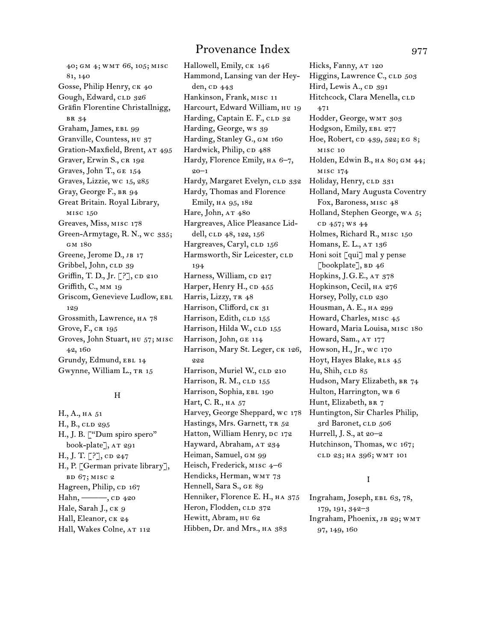40; gm 4; wmt 66, 105; misc 81, 140 Gosse, Philip Henry, CK 40 Gough, Edward, CLD 326 Gräfin Florentine Christallnigg, br 34 Graham, James, EBL 99 Granville, Countess, HU 37 Gration-Maxfield, Brent, AT 495 Graver, Erwin S., CR 192 Graves, John T., ge 154 Graves, Lizzie, wc 15, 285 Gray, George F., BR 94 Great Britain. Royal Library, misc 150 Greaves, Miss, misc 178 Green-Armytage, R. N., wc 335; gm 180 Greene, Jerome D., JB 17 Gribbel, John, CLD 39 Griffin, T. D., Jr. [?], CD 210 Griffith, C., MM 19 Griscom, Genevieve Ludlow, EBL 129 Grossmith, Lawrence, ha 78 Grove, F., CR 195 Groves, John Stuart, hu 57; misc 42, 160 Grundy, Edmund, EBL 14 Gwynne, William L., TR 15

### H

H., A., ha 51 H., B., CLD 295 H., J. B. ["Dum spiro spero" book-plate], AT 291 H., J. T.  $[?]$ , CD 247 H., P. [German private library], bd 67; misc 2 Hagreen, Philip, CD 167 Hahn,  $\longrightarrow$ , CD 420 Hale, Sarah J., CK 9 Hall, Eleanor, CK 24 Hall, Wakes Colne, AT 112

Hallowell, Emily, CK 146 Hammond, Lansing van der Heyden, CD 443 Hankinson, Frank, misc 11 Harcourt, Edward William, HU 19 Harding, Captain E. F., CLD 32 Harding, George, ws 39 Harding, Stanley G., GM 160 Hardwick, Philip, cp 488 Hardy, Florence Emily, ha 6–7, 20–1 Hardy, Margaret Evelyn, CLD 332 Hardy, Thomas and Florence Emily, ha 95, 182 Hare, John, AT 480 Hargreaves, Alice Pleasance Liddell, CLD 48, 122, 156 Hargreaves, Caryl, CLD 156 Harmsworth, Sir Leicester, CLD 194 Harness, William, CD 217 Harper, Henry H., CD 455 Harris, Lizzy, TR 48 Harrison, Clifford, CK 31 Harrison, Edith, CLD 155 Harrison, Hilda W., CLD 155 Harrison, John, ge 114 Harrison, Mary St. Leger, CK 126, 222 Harrison, Muriel W., CLD 210 Harrison, R. M., CLD 155 Harrison, Sophia, EBL 190 Hart, C. R., HA 57 Harvey, George Sheppard, wc 178 Hastings, Mrs. Garnett, TR 52 Hatton, William Henry, DC 172 Hayward, Abraham, AT 234 Heiman, Samuel, GM 99 Heisch, Frederick, MISC 4-6 Hendicks, Herman, WMT 73 Hennell, Sara S., GE 89 Henniker, Florence E. H., HA 375 Heron, Flodden, CLD 372 Hewitt, Abram, HU 62 Hibben, Dr. and Mrs., HA 383

Hicks, Fanny, AT 120 Higgins, Lawrence C., CLD 503 Hird, Lewis A., cp 391 Hitchcock, Clara Menella, CLD 471 Hodder, George, WMT 303 Hodgson, Emily, EBL 277 Hoe, Robert, cp 439, 522; EG 8; misc 10 Holden, Edwin B., HA 80; GM 44; misc 174 Holiday, Henry, CLD 331 Holland, Mary Augusta Coventry Fox, Baroness, misc 48 Holland, Stephen George, wa 5; cp 457; ws 44 Holmes, Richard R., misc 150 Homans, E. L., AT 136 Honi soit [qui] mal y pense [bookplate],  $BD$  46 Hopkins, J.G.E., AT 378 Hopkinson, Cecil, ha 276 Horsey, Polly, CLD 230 Housman, A. E., ha 299 Howard, Charles, misc 45 Howard, Maria Louisa, misc 180 Howard, Sam., AT 177 Howson, H., Jr., wc 170 Hoyt, Hayes Blake, RLS 45 Hu, Shih,  $CLD$  85 Hudson, Mary Elizabeth, BR 74 Hulton, Harrington, WB 6 Hunt, Elizabeth, BR 7 Huntington, Sir Charles Philip, 3rd Baronet, CLD 506 Hurrell, J. S., at 20–2 Hutchinson, Thomas, wc 167; cld 23; ha 396; wmt 101

### I

Ingraham, Joseph, ebl 63, 78, 179, 191, 342–3 Ingraham, Phoenix, jb 29; wmt 97, 149, 160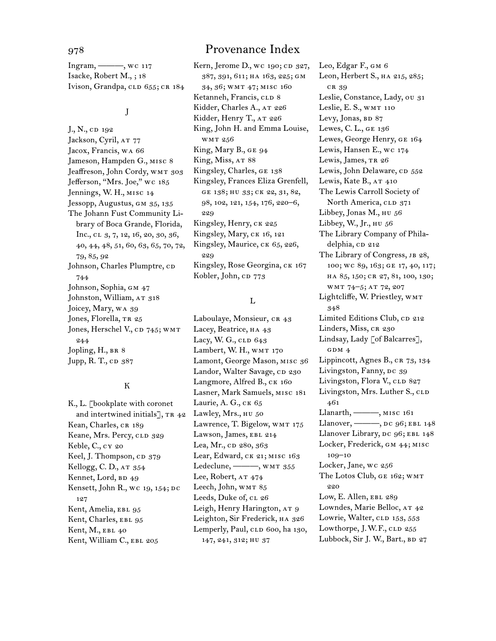Ingram, ———, wc 117 Isacke, Robert M., ; 18 Ivison, Grandpa, CLD 655; CR 184

#### J

J., N., cp 192 Jackson, Cyril, AT 77 Jacox, Francis, wa 66 Jameson, Hampden G., misc 8 Jeaffreson, John Cordy, WMT 303 Jefferson, "Mrs. Joe," wc 185 Jennings, W. H., misc 14 Jessopp, Augustus, gm 35, 135 The Johann Fust Community Library of Boca Grande, Florida, Inc., cl 3, 7, 12, 16, 20, 30, 36, 40, 44, 48, 51, 60, 63, 65, 70, 72, 79, 85, 92 Johnson, Charles Plumptre, CD 744 Johnson, Sophia, GM 47 Johnston, William, AT 318 Joicey, Mary, wa 39 Jones, Florella, TR 25 Jones, Herschel V., CD 745; WMT 244 Jopling, H., BR 8 Jupp, R. T., cp 387

#### K

K., L. [bookplate with coronet and intertwined initials], TR 42 Kean, Charles, CR 189 Keane, Mrs. Percy, CLD 329 Keble, C., cy 20 Keel, J. Thompson, CD 379 Kellogg, C. D., AT 354 Kennet, Lord, BD 49 Kensett, John R., wc 19, 154; DC 127 Kent, Amelia, EBL 95 Kent, Charles, EBL 95 Kent, M., EBL 40 Kent, William C., EBL 205

Kern, Jerome D., wc 190; CD 327, 387, 391, 611; ha 163, 225; gm 34, 36; wmt 47; misc 160 Ketanneh, Francis, CLD 8 Kidder, Charles A., AT 226 Kidder, Henry T., AT 226 King, John H. and Emma Louise, wmt 256 King, Mary B., GE 94 King, Miss, AT 88 Kingsley, Charles, ge 138 Kingsley, Frances Eliza Grenfell, ge 138; hu 33; ck 22, 31, 82, 98, 102, 121, 154, 176, 220–6, 229 Kingsley, Henry, CK 225 Kingsley, Mary, ck 16, 121 Kingsley, Maurice, CK 65, 226, 229 Kingsley, Rose Georgina, CK 167 Kobler, John, cp 773

### L

Laboulaye, Monsieur, CR 43 Lacey, Beatrice, HA 43 Lacy, W. G., CLD 643 Lambert, W. H., WMT 170 Lamont, George Mason, misc 36 Landor, Walter Savage, CD 230 Langmore, Alfred B., CK 160 Lasner, Mark Samuels, misc 181 Laurie, A. G., ck 65 Lawley, Mrs., HU 50 Lawrence, T. Bigelow, WMT 175 Lawson, James, EBL 214 Lea, Mr., cD 280, 363 Lear, Edward, ck 21; misc 163 Ledeclune, -- , WMT 355 Lee, Robert, AT 474 Leech, John, WMT 85 Leeds, Duke of, CL 26 Leigh, Henry Harington, AT 9 Leighton, Sir Frederick, HA 326 Lemperly, Paul, CLD 600, ha 130, 147, 241, 312; hu 37

Leo, Edgar F., gm 6 Leon, Herbert S., HA 215, 285; cr 39 Leslie, Constance, Lady, ou 31 Leslie, E. S., WMT 110 Levy, Jonas, BD 87 Lewes, C. L., ge 136 Lewes, George Henry, ge 164 Lewis, Hansen E., wc 174 Lewis, James, TR 26 Lewis, John Delaware, CD 552 Lewis, Kate B.,  $AT$  410 The Lewis Carroll Society of North America, CLD 371 Libbey, Jonas M., HU 56 Libbey, W., Jr., hu 56 The Library Company of Philadelphia, cp 212 The Library of Congress, JB 28, 100; wc 89, 163; ge 17, 40, 117; ha 85, 150; cr 27, 81, 100, 130; wmt 74–5; at 72, 207 Lightcliffe, W. Priestley, WMT 348 Limited Editions Club, CD 212 Linders, Miss, CR 230 Lindsay, Lady [of Balcarres], GDM 4 Lippincott, Agnes B., CR 73, 134 Livingston, Fanny, DC 39 Livingston, Flora V., CLD 827 Livingston, Mrs. Luther S., CLD 461 Llanarth, ———, misc 161 Llanover, ———, dc 96; EBL 148 Llanover Library, DC 96; EBL 148 Locker, Frederick, gm 44; misc 109–10 Locker, Jane, wc 256 The Lotos Club, ge 162; wmt  $9.90$ Low, E. Allen, EBL 289 Lowndes, Marie Belloc, AT 42 Lowrie, Walter, CLD 153, 553 Lowthorpe, J.W.F.,  $CLD$  255 Lubbock, Sir J. W., Bart., BD 27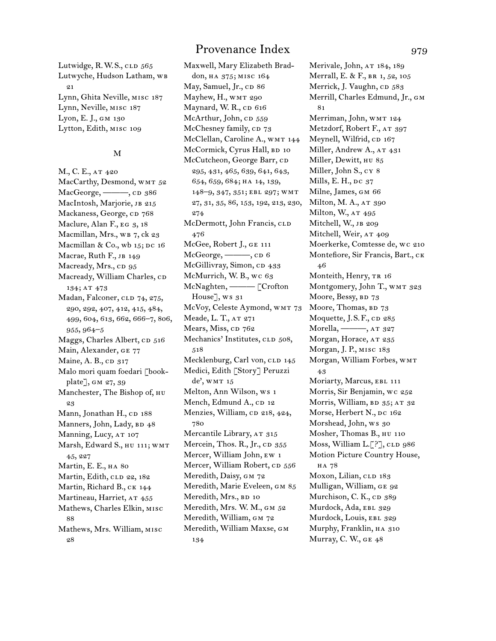Lutwidge, R.W.S., CLD 565 Lutwyche, Hudson Latham, WB 21 Lynn, Ghita Neville, misc 187 Lynn, Neville, misc 187 Lyon, E. J., gm 130 Lytton, Edith, misc 109

#### M

M., C. E., AT 420 MacCarthy, Desmond, WMT 52 MacGeorge, ———, CD 386 MacIntosh, Marjorie, JB 215 Mackaness, George, CD 768 Maclure, Alan F., EG 3, 18 Macmillan, Mrs., wB 7, ck 23 Macmillan & Co., wb  $15$ ; DC  $16$ Macrae, Ruth F., JB 149 Macready, Mrs., cp 95 Macready, William Charles, CD 134; at 473 Madan, Falconer, CLD 74, 275, 290, 292, 407, 412, 415, 484, 499, 604, 613, 662, 666–7, 806, 955, 964–5 Maggs, Charles Albert, CD 516 Main, Alexander, ge 77 Maine, A. B., CD 317 Malo mori quam foedari [bookplate], GM 27, 39 Manchester, The Bishop of, hu 23 Mann, Jonathan H., CD 188 Manners, John, Lady, BD 48 Manning, Lucy, AT 107 Marsh, Edward S., hu 111; wmt 45, 227 Martin, E. E., ha 80 Martin, Edith, CLD 22, 182 Martin, Richard B., CK 144 Martineau, Harriet, AT 455 Mathews, Charles Elkin, misc 88 Mathews, Mrs. William, misc 28

Maxwell, Mary Elizabeth Braddon, ha 375; misc 164 May, Samuel, Jr., CD 86 Mayhew, H., WMT 290 Maynard, W. R., CD 616 McArthur, John, cp 559 McChesney family, CD 73 McClellan, Caroline A., WMT 144 McCormick, Cyrus Hall, BD 10 McCutcheon, George Barr, CD 295, 431, 465, 639, 641, 643, 654, 659, 684; ha 14, 139, 148–9, 347, 351; ebl 297; wmt 27, 31, 35, 86, 153, 192, 213, 230, 274 McDermott, John Francis, CLD 476 McGee, Robert J., ge 111 McGeorge, ----, CD 6 McGillivray, Simon, CD 433 McMurrich, W. B., wc 63 McNaghten, ——— [Crofton House], ws 31 McVoy, Celeste Aymond, WMT 73 Meade, L. T., AT 271 Mears, Miss, cp 762 Mechanics' Institutes, CLD 508, 518 Mecklenburg, Carl von, CLD 145 Medici, Edith [Story] Peruzzi de', WMT 15 Melton, Ann Wilson, ws 1 Mench, Edmund A., CD 12 Menzies, William, cp 218, 424, 780 Mercantile Library, AT 315 Mercein, Thos. R., Jr., cp 355 Mercer, William John, ew 1 Mercer, William Robert, cp 556 Meredith, Daisy, GM 72 Meredith, Marie Eveleen, gm 85 Meredith, Mrs., BD 10 Meredith, Mrs. W. M., GM 52 Meredith, William, GM 72 Meredith, William Maxse, gm 134

Merivale, John, AT 184, 189 Merrall, E. & F., br 1, 52, 105 Merrick, J. Vaughn, CD 583 Merrill, Charles Edmund, Jr., gm 81 Merriman, John, wmt 124 Metzdorf, Robert F., AT 397 Meynell, Wilfrid, CD 167 Miller, Andrew A., AT 431 Miller, Dewitt, hu 85 Miller, John S., cy 8 Mills, E. H.,  $pc\ 37$ Milne, James, gm 66 Milton, M. A., AT 390 Milton, W., AT 495 Mitchell, W., JB 209 Mitchell, Weir, AT 409 Moerkerke, Comtesse de, wc 210 Montefiore, Sir Francis, Bart., ck 46 Monteith, Henry, TR 16 Montgomery, John T., WMT 323 Moore, Bessy, BD 73 Moore, Thomas, BD 73 Moquette, J.S.F.,  $CD$  285 Morella, -- , AT 327 Morgan, Horace, AT 235 Morgan, J. P., misc 183 Morgan, William Forbes, wmt 43 Moriarty, Marcus, EBL 111 Morris, Sir Benjamin, wc 252 Morris, William, BD 35; AT 32 Morse, Herbert N., DC 162 Morshead, John, ws 30 Mosher, Thomas B., hu 110 Moss, William L.<sup>[?]</sup>, CLD 986 Motion Picture Country House, ha 78 Moxon, Lilian, CLD 183 Mulligan, William, ge 92 Murchison, C. K., cp 389 Murdock, Ada, EBL 329 Murdock, Louis, EBL 329 Murphy, Franklin, ha 310 Murray, C. W., GE  $48$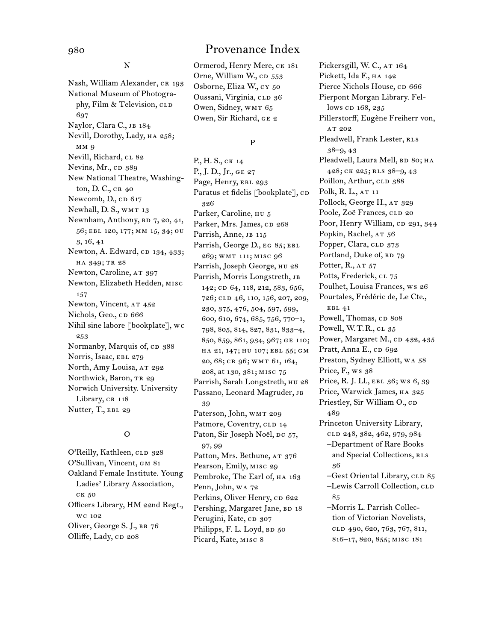N

Nash, William Alexander, CR 193 National Museum of Photography, Film & Television, CLD 697 Naylor, Clara C., JB 184 Nevill, Dorothy, Lady, ha 258; mm 9 Nevill, Richard, CL 82 Nevins, Mr., cp 389 New National Theatre, Washington, D. C., CR 40 Newcomb, D., cp 617 Newhall, D. S., WMT 13 Newnham, Anthony, BD 7, 20, 41, 56; ebl 120, 177; mm 15, 34; ou 3, 16, 41 Newton, A. Edward, CD 134, 433; ha 349; tr 28 Newton, Caroline, AT 397 Newton, Elizabeth Hedden, misc 157 Newton, Vincent, AT 452 Nichols, Geo., cp 666 Nihil sine labore [bookplate], wc 253 Normanby, Marquis of, cp 388 Norris, Isaac, EBL 279 North, Amy Louisa, AT 292 Northwick, Baron, TR 29 Norwich University. University Library, CR 118 Nutter, T., EBL 29

### O

O'Reilly, Kathleen, CLD 328 O'Sullivan, Vincent, gm 81 Oakland Female Institute. Young Ladies' Library Association, ck 50 Officers Library, HM 22nd Regt., wc 102 Oliver, George S. J., br 76 Olliffe, Lady, CD 208

Ormerod, Henry Mere, ck 181 Orne, William W., CD 553 Osborne, Eliza W., cy 50 Oussani, Virginia, CLD 36 Owen, Sidney, WMT 65 Owen, Sir Richard, ge 2

#### P

P., H. S., ck 14 P., J. D., Jr., GE 27 Page, Henry, EBL 293 Paratus et fidelis [bookplate], CD 326 Parker, Caroline, нu 5 Parker, Mrs. James, cp 268 Parrish, Anne, JB 115 Parrish, George D., EG 85; EBL 269; wmt 111; misc 96 Parrish, Joseph George, hu 28 Parrish, Morris Longstreth, jb 142; CD 64, 118, 212, 583, 656, 726; cld 46, 110, 156, 207, 209, 230, 375, 476, 504, 597, 599, 600, 610, 674, 685, 756, 770–1, 798, 805, 814, 827, 831, 833–4, 850, 859, 861, 934, 967; ge 110; ha 21, 147; hu 107; ebl 55; gm 20, 68; cr 96; wmt 61, 164, 208, at 130, 381; misc 75 Parrish, Sarah Longstreth, hu 28 Passano, Leonard Magruder, jb 39 Paterson, John, WMT 209 Patmore, Coventry, CLD 14 Paton, Sir Joseph Noël, DC 57, 97, 99 Patton, Mrs. Bethune, AT 376 Pearson, Emily, misc 29 Pembroke, The Earl of, HA 163 Penn, John, wa 72 Perkins, Oliver Henry, cp 622 Pershing, Margaret Jane, BD 18 Perugini, Kate, cp 307 Philipps, F. L. Loyd, BD 50 Picard, Kate, misc 8

Pickersgill, W. C., AT 164 Pickett, Ida F., ha 142 Pierce Nichols House, cp 666 Pierpont Morgan Library. Fellows cp 168, 235 Pillerstorff, Eugène Freiherr von, AT 202 Pleadwell, Frank Lester, RLS 38–9, 43 Pleadwell, Laura Mell, BD 80; HA 428; ck 225; rls 38–9, 43 Poillon, Arthur, CLD 388 Polk, R. L., AT 11 Pollock, George H., AT 329 Poole, Zoë Frances, CLD 20 Poor, Henry William, CD 291, 344 Popkin, Rachel, AT 56 Popper, Clara, CLD 373 Portland, Duke of, BD 79 Potter,  $R_{.,A}$   $\tau$   $57$ Potts, Frederick, cl 75 Poulhet, Louisa Frances, ws 26 Pourtales, Frédéric de, Le Cte., ebl 41 Powell, Thomas, CD 808 Powell, W.T.R., cl 35 Power, Margaret M., CD 432, 435 Pratt, Anna E., cD 692 Preston, Sydney Elliott, wa 58 Price, F., ws 38 Price, R. J. Ll., EBL 36; WS 6, 39 Price, Warwick James, HA 325 Priestley, Sir William O., CD 489 Princeton University Library, cld 248, 382, 462, 979, 984 –Department of Rare Books and Special Collections, RLS 36 -Gest Oriental Library, CLD 85 -Lewis Carroll Collection, CLD 85 –Morris L. Parrish Collection of Victorian Novelists, cld 490, 620, 763, 767, 811, 816–17, 820, 855; misc 181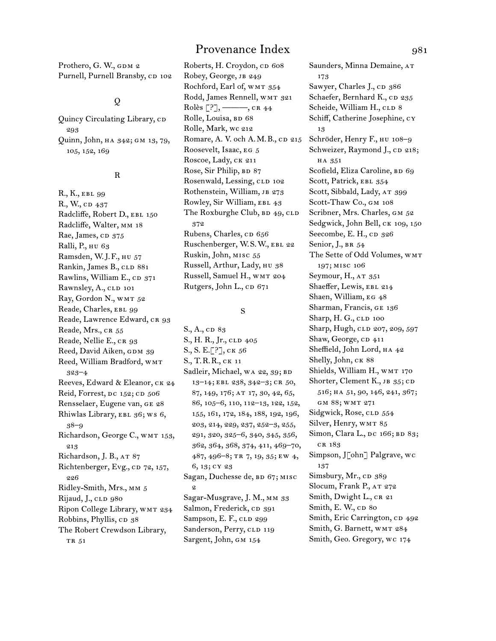Prothero, G. W., GDM 2 Purnell, Purnell Bransby, CD 102

## $\mathbf{Q}$

Quincy Circulating Library, cp 293 Quinn, John, ha 342; gm 13, 79, 105, 152, 169

#### R

R., K., ebl 99 R., W., CD 437 Radcliffe, Robert D., EBL 150 Radcliffe, Walter, mm 18 Rae, James, CD 375 Ralli, P., hu 63 Ramsden, W.J.F., hu 57 Rankin, James B., CLD 881 Rawlins, William E., CD 371 Rawnsley, A., CLD 101 Ray, Gordon N., WMT 52 Reade, Charles, EBL 99 Reade, Lawrence Edward, CR 93 Reade, Mrs., CR 55 Reade, Nellie E., CR 93 Reed, David Aiken, GDM 39 Reed, William Bradford, WMT 323–4 Reeves, Edward & Eleanor, CK 24 Reid, Forrest,  $pc$  152;  $CD$  506 Rensselaer, Eugene van, ge 28 Rhiwlas Library, EBL 36; WS 6, 38–9 Richardson, George C., WMT 153, 213 Richardson, J. B., AT 87 Richtenberger, Evg., cp 72, 157, 226 Ridley-Smith, Mrs., mm 5 Rijaud, J., CLD 980 Ripon College Library, wmt 234 Robbins, Phyllis, cp 38 The Robert Crewdson Library, TR 51

## Provenance Index 981

Roberts, H. Croydon, cp 608 Robey, George, JB 249 Rochford, Earl of, WMT 354 Rodd, James Rennell, WMT 321 Rolès  $[?]$ , ——, cr 44 Rolle, Louisa, BD 68 Rolle, Mark, wc 212 Romare, A. V. och A. M. B., CD 215 Roosevelt, Isaac, eg 5 Roscoe, Lady, CK 211 Rose, Sir Philip, BD 87 Rosenwald, Lessing, CLD 102 Rothenstein, William, JB 273 Rowley, Sir William, EBL 43 The Roxburghe Club, BD 49, CLD 372 Rubens, Charles, cp 656 Ruschenberger, W.S.W., ebl 22 Ruskin, John, misc 55 Russell, Arthur, Lady, hu 38 Russell, Samuel H., wmt 204 Rutgers, John L., CD 671

#### S

S., A., cp 83 S., H. R., Jr., CLD 405 S., S. E.[?], ck 56 S., T.R.R., ck 11 Sadleir, Michael, WA 22, 39; BD 13–14; ebl 238, 342–3; cr 50, 87, 149, 176; at 17, 30, 42, 65, 86, 105–6, 110, 112–13, 122, 152, 155, 161, 172, 184, 188, 192, 196, 203, 214, 229, 237, 252–3, 255, 291, 320, 325–6, 340, 345, 356, 362, 364, 368, 374, 411, 469–70, 487, 496–8; tr 7, 19, 35; ew 4, 6, 13; cy 23 Sagan, Duchesse de, BD 67; MISC 2 Sagar-Musgrave, J. M., mm 33 Salmon, Frederick, CD 391 Sampson, E. F.,  $CLD$  299 Sanderson, Perry, CLD 119 Sargent, John, GM 154

Saunders, Minna Demaine, at 173 Sawyer, Charles J., CD 386 Schaefer, Bernhard K., CD 235 Scheide, William H., CLD 8 Schiff, Catherine Josephine, cy 13 Schröder, Henry F., hu 108–9 Schweizer, Raymond J., CD 218; ha 351 Scofield, Eliza Caroline, BD 69 Scott, Patrick, EBL 354 Scott, Sibbald, Lady, AT 399 Scott-Thaw Co., gm 108 Scribner, Mrs. Charles, GM 52 Sedgwick, John Bell, CK 109, 150 Seecombe, E. H., cp 326 Senior, J., BR 54 The Sette of Odd Volumes, WMT 197; misc 106 Seymour, H., AT 351 Shaeffer, Lewis, EBL 214 Shaen, William, EG 48 Sharman, Francis, ge 136 Sharp, H. G., CLD 100 Sharp, Hugh, CLD 207, 209, 597 Shaw, George, CD 411 Sheffield, John Lord, ha 42 Shelly, John, CK 88 Shields, William H., WMT 170 Shorter, Clement K., JB 35; CD 516; ha 51, 90, 146, 241, 367; gm 88; wmt 271 Sidgwick, Rose, CLD 554 Silver, Henry, WMT 85 Simon, Clara L., DC 166; BD 83; cr 183 Simpson, John<sup>7</sup> Palgrave, wc 137 Simsbury, Mr., cp 389 Slocum, Frank P., AT 272 Smith, Dwight L., CR 21 Smith, E. W., CD 80 Smith, Eric Carrington, cp 492 Smith, G. Barnett, WMT 284 Smith, Geo. Gregory, wc 174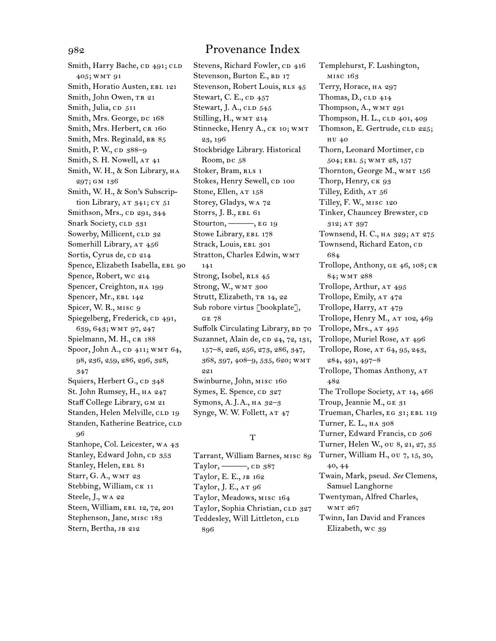Smith, Harry Bache, CD 491; CLD 405; wmt 91 Smith, Horatio Austen, EBL 121 Smith, John Owen, TR 21 Smith, Julia, CD 511 Smith, Mrs. George, DC 168 Smith, Mrs. Herbert, CR 160 Smith, Mrs. Reginald, BR 85 Smith, P. W., cp 388–9 Smith, S. H. Nowell, AT 41 Smith, W. H., & Son Library, ha 297; gm 136 Smith, W. H., & Son's Subscription Library,  $AT$  341;  $CY$  51 Smithson, Mrs., cp 291, 344 Snark Society, CLD 331 Sowerby, Millicent, CLD 32 Somerhill Library, AT 456 Sortis, Cyrus de, cD 214 Spence, Elizabeth Isabella, EBL 90 Spence, Robert, wc 214 Spencer, Creighton, ha 199 Spencer, Mr., EBL 142 Spicer, W. R., misc 9 Spiegelberg, Frederick, CD 491, 639, 643; wmt 97, 247 Spielmann, M. H., CR 188 Spoor, John A., CD 411; WMT 64, 98, 236, 259, 286, 296, 328, 347 Squiers, Herbert G., CD 348 St. John Rumsey, H., HA 247 Staff College Library, GM 21 Standen, Helen Melville, CLD 19 Standen, Katherine Beatrice, CLD 96 Stanhope, Col. Leicester, wa 43 Stanley, Edward John, CD 353 Stanley, Helen, EBL 81 Starr, G. A., WMT 23 Stebbing, William, CK 11 Steele, J., wa 22 Steen, William, EBL 12, 72, 201 Stephenson, Jane, misc 183 Stern, Bertha, JB 212

Stevens, Richard Fowler, CD 416 Stevenson, Burton E., BD 17 Stevenson, Robert Louis, RLS 45 Stewart, C. E., cp 457 Stewart, J. A., CLD 545 Stilling, H., WMT 214 Stinnecke, Henry A., CK 10; WMT 23, 196 Stockbridge Library. Historical Room, DC 58 Stoker, Bram, RLS 1 Stokes, Henry Sewell, CD 100 Stone, Ellen, AT 158 Storey, Gladys, wa 72 Storrs, J. B., EBL 61 Stourton, ———, eg 19 Stowe Library, EBL 178 Strack, Louis, EBL 301 Stratton, Charles Edwin, wmt 141 Strong, Isobel, RLS 45 Strong, W., WMT 300 Strutt, Elizabeth, TR 14, 22 Sub robore virtus [bookplate], ge 78 Suffolk Circulating Library, BD 70 Suzannet, Alain de, cp 24, 72, 131, 157–8, 226, 256, 273, 286, 347, 368, 397, 408–9, 535, 620; wmt 221 Swinburne, John, misc 160 Symes, E. Spence, CD 327 Symons, A.J.A., ha 32–3 Synge, W. W. Follett, AT 47

### T

Tarrant, William Barnes, misc 89 Taylor,  $\longrightarrow$ , CD 387 Taylor, E. E., jb 162 Taylor, J. E., AT 96 Taylor, Meadows, misc 164 Taylor, Sophia Christian, CLD 327 Teddesley, Will Littleton, CLD 896

Templehurst, F. Lushington, misc 163 Terry, Horace, ha 297 Thomas,  $D$ ,  $CLD$  414 Thompson, A., WMT 291 Thompson, H. L., CLD 401, 409 Thomson, E. Gertrude, CLD 225; hu 40 Thorn, Leonard Mortimer, CD 504; ebl 5; wmt 28, 157 Thornton, George M., WMT 156 Thorp, Henry, CK 93 Tilley, Edith, AT 56 Tilley, F. W., misc 120 Tinker, Chauncey Brewster, CD 312; at 397 Townsend, H. C., HA 329; AT 275 Townsend, Richard Eaton, CD 684 Trollope, Anthony, GE 46, 108; CR 84; wmt 288 Trollope, Arthur, AT 495 Trollope, Emily, AT 472 Trollope, Harry, AT 479 Trollope, Henry M., AT 102, 469 Trollope, Mrs., AT 495 Trollope, Muriel Rose, AT 496 Trollope, Rose, at 64, 95, 243, 284, 491, 497–8 Trollope, Thomas Anthony, at 482 The Trollope Society, AT 14, 466 Troup, Jeannie M., ge 31 Trueman, Charles, EG 31; EBL 119 Turner, E. L., ha 308 Turner, Edward Francis, CD 506 Turner, Helen W., ou 8, 21, 27, 35 Turner, William H., ou 7, 15, 30, 40, 44 Twain, Mark, pseud. *See* Clemens, Samuel Langhorne Twentyman, Alfred Charles, wmt 267 Twinn, Ian David and Frances Elizabeth, wc 39